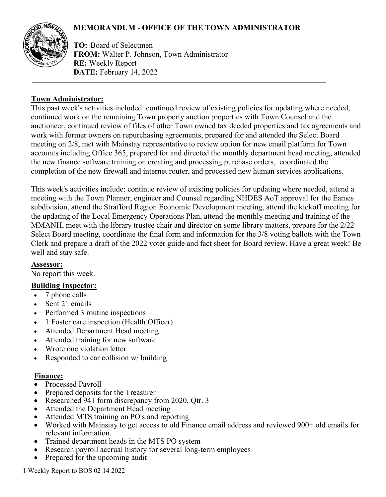# **MEMORANDUM** - **OFFICE OF THE TOWN ADMINISTRATOR**



**TO:** Board of Selectmen **FROM:** Walter P. Johnson, Town Administrator **RE:** Weekly Report **DATE:** February 14, 2022

### **Town Administrator:**

This past week's activities included: continued review of existing policies for updating where needed, continued work on the remaining Town property auction properties with Town Counsel and the auctioneer, continued review of files of other Town owned tax deeded properties and tax agreements and work with former owners on repurchasing agreements, prepared for and attended the Select Board meeting on 2/8, met with Mainstay representative to review option for new email platform for Town accounts including Office 365, prepared for and directed the monthly department head meeting, attended the new finance software training on creating and processing purchase orders, coordinated the completion of the new firewall and internet router, and processed new human services applications.

This week's activities include: continue review of existing policies for updating where needed, attend a meeting with the Town Planner, engineer and Counsel regarding NHDES AoT approval for the Eames subdivision, attend the Strafford Region Economic Development meeting, attend the kickoff meeting for the updating of the Local Emergency Operations Plan, attend the monthly meeting and training of the MMANH, meet with the library trustee chair and director on some library matters, prepare for the 2/22 Select Board meeting, coordinate the final form and information for the 3/8 voting ballots with the Town Clerk and prepare a draft of the 2022 voter guide and fact sheet for Board review. Have a great week! Be well and stay safe.

# **Assessor:**

No report this week.

# **Building Inspector:**

- 7 phone calls
- Sent 21 emails
- Performed 3 routine inspections
- 1 Foster care inspection (Health Officer)
- Attended Department Head meeting
- Attended training for new software
- Wrote one violation letter
- Responded to car collision w/ building

### **Finance:**

- Processed Payroll
- Prepared deposits for the Treasurer
- Researched 941 form discrepancy from 2020, Qtr. 3
- Attended the Department Head meeting
- Attended MTS training on PO's and reporting
- Worked with Mainstay to get access to old Finance email address and reviewed 900+ old emails for relevant information.
- Trained department heads in the MTS PO system
- Research payroll accrual history for several long-term employees
- Prepared for the upcoming audit

1 Weekly Report to BOS 02 14 2022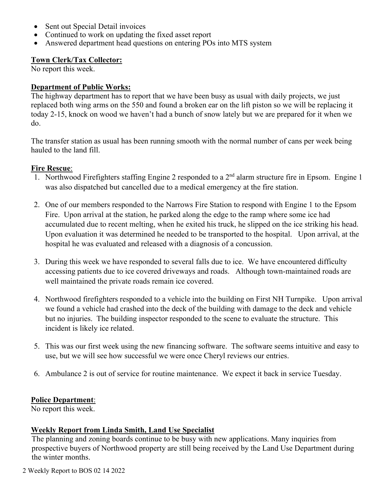- Sent out Special Detail invoices
- Continued to work on updating the fixed asset report
- Answered department head questions on entering POs into MTS system

### **Town Clerk/Tax Collector:**

No report this week.

### **Department of Public Works:**

The highway department has to report that we have been busy as usual with daily projects, we just replaced both wing arms on the 550 and found a broken ear on the lift piston so we will be replacing it today 2-15, knock on wood we haven't had a bunch of snow lately but we are prepared for it when we do.

The transfer station as usual has been running smooth with the normal number of cans per week being hauled to the land fill.

# **Fire Rescue**:

- 1. Northwood Firefighters staffing Engine 2 responded to a  $2<sup>nd</sup>$  alarm structure fire in Epsom. Engine 1 was also dispatched but cancelled due to a medical emergency at the fire station.
- 2. One of our members responded to the Narrows Fire Station to respond with Engine 1 to the Epsom Fire. Upon arrival at the station, he parked along the edge to the ramp where some ice had accumulated due to recent melting, when he exited his truck, he slipped on the ice striking his head. Upon evaluation it was determined he needed to be transported to the hospital. Upon arrival, at the hospital he was evaluated and released with a diagnosis of a concussion.
- 3. During this week we have responded to several falls due to ice. We have encountered difficulty accessing patients due to ice covered driveways and roads. Although town-maintained roads are well maintained the private roads remain ice covered.
- 4. Northwood firefighters responded to a vehicle into the building on First NH Turnpike. Upon arrival we found a vehicle had crashed into the deck of the building with damage to the deck and vehicle but no injuries. The building inspector responded to the scene to evaluate the structure. This incident is likely ice related.
- 5. This was our first week using the new financing software. The software seems intuitive and easy to use, but we will see how successful we were once Cheryl reviews our entries.
- 6. Ambulance 2 is out of service for routine maintenance. We expect it back in service Tuesday.

# **Police Department**:

No report this week.

# **Weekly Report from Linda Smith, Land Use Specialist**

The planning and zoning boards continue to be busy with new applications. Many inquiries from prospective buyers of Northwood property are still being received by the Land Use Department during the winter months.

2 Weekly Report to BOS 02 14 2022